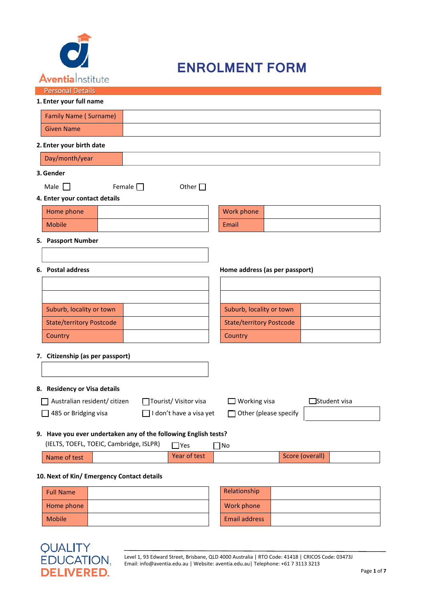

## **ENROLMENT FORM**

| Personal Details |  |
|------------------|--|
|                  |  |

| 1. Enter your full name      |  |
|------------------------------|--|
| <b>Family Name (Surname)</b> |  |
| <b>Given Name</b>            |  |
| 2. Enter your birth date     |  |

#### **3.Gender**

| Male |  |
|------|--|

| $\Box$<br>Female $\Box$ | Other $\Box$ |
|-------------------------|--------------|
|-------------------------|--------------|

### **4. Enter your contact details**

| Home phone    |  | Work  |
|---------------|--|-------|
| <b>Mobile</b> |  | Email |

# Work phone

#### **5. Passport Number**

| Suburb, locality or town        |  | Suburb, locality or town        |
|---------------------------------|--|---------------------------------|
| <b>State/territory Postcode</b> |  | <b>State/territory Postcode</b> |
| Country                         |  | Country                         |

### **6. Postal address Home address (as per passport)**

| Suburb, locality or town        |  |
|---------------------------------|--|
| <b>State/territory Postcode</b> |  |
| Country                         |  |

**7. Citizenship (as per passport)**

#### **8. Residency or Visa details**

| $\Box$ Australian resident/ citizen     | □Tourist/ Visitor visa                                                                                         | $\Box$ Working visa | $\Box$ Student visa |
|-----------------------------------------|----------------------------------------------------------------------------------------------------------------|---------------------|---------------------|
| $\Box$ 405 $\Box$ Development of $\Box$ | └── Lind and Lind and and and Lind and Lind and Lind and Lind and Lind and Lind and Lind and Lind and Lind and |                     |                     |

| ourist/ Visitor visa |  |
|----------------------|--|
|                      |  |

□ 485 or Bridging visa □ □ I don't have a visa yet □ Other (please specify

**9. Have you ever undertaken any of the following English tests?**

|              | (IELTS, TOEFL, TOEIC, Cambridge, ISLPR) | <b>Nome T</b> | 1No |                 |
|--------------|-----------------------------------------|---------------|-----|-----------------|
| Name of test |                                         | Year of test  |     | Score (overall) |

**10. Next of Kin/ Emergency Contact details**

| <b>Full Name</b> |  | Relationship         |  |
|------------------|--|----------------------|--|
| Home phone       |  | Work phone           |  |
| <b>Mobile</b>    |  | <b>Email address</b> |  |

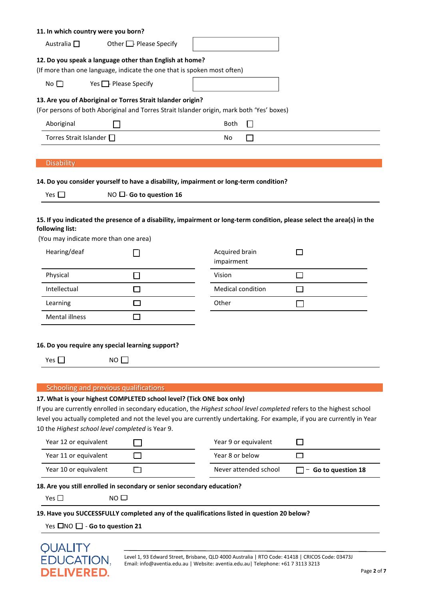| 11. In which country were you born?                      |                                                                                                                                                          |                              |                 |
|----------------------------------------------------------|----------------------------------------------------------------------------------------------------------------------------------------------------------|------------------------------|-----------------|
| Australia $\square$                                      | Other $\Box$ Please Specify                                                                                                                              |                              |                 |
|                                                          | 12. Do you speak a language other than English at home?<br>(If more than one language, indicate the one that is spoken most often)                       |                              |                 |
|                                                          |                                                                                                                                                          |                              |                 |
| No $\Box$                                                | Yes $\Box$ Please Specify                                                                                                                                |                              |                 |
|                                                          | 13. Are you of Aboriginal or Torres Strait Islander origin?<br>(For persons of both Aboriginal and Torres Strait Islander origin, mark both 'Yes' boxes) |                              |                 |
| Aboriginal                                               |                                                                                                                                                          | □<br><b>Both</b>             |                 |
| Torres Strait Islander □                                 |                                                                                                                                                          | No<br>П                      |                 |
|                                                          |                                                                                                                                                          |                              |                 |
| <b>Disability</b>                                        |                                                                                                                                                          |                              |                 |
|                                                          | 14. Do you consider yourself to have a disability, impairment or long-term condition?                                                                    |                              |                 |
| Yes $\square$                                            | NO □- Go to question 16                                                                                                                                  |                              |                 |
|                                                          |                                                                                                                                                          |                              |                 |
| following list:<br>(You may indicate more than one area) | 15. If you indicated the presence of a disability, impairment or long-term condition, please select the area(s) in the                                   |                              |                 |
| Hearing/deaf                                             |                                                                                                                                                          | Acquired brain<br>impairment | <b>Contract</b> |
| Physical                                                 | $\Box$                                                                                                                                                   | Vision                       | $\Box$          |
| Intellectual                                             | □                                                                                                                                                        | Medical condition            | П               |
| Learning                                                 | П                                                                                                                                                        | Other                        |                 |
| Mental illness                                           | П                                                                                                                                                        |                              |                 |
|                                                          |                                                                                                                                                          |                              |                 |
|                                                          | 16. Do you require any special learning support?                                                                                                         |                              |                 |
| Yes $\Box$                                               | $NO$ $\Box$                                                                                                                                              |                              |                 |
|                                                          |                                                                                                                                                          |                              |                 |
|                                                          | Schooling and previous qualifications                                                                                                                    |                              |                 |
|                                                          | 17. What is your highest COMPLETED school level? (Tick ONE box only)                                                                                     |                              |                 |
|                                                          | If you are currently enrolled in secondary education, the Highest school level completed refers to the highest school                                    |                              |                 |
|                                                          | level you actually completed and not the level you are currently undertaking. For example, if you are currently in Year                                  |                              |                 |

10 the *Highest school level completed* is Year 9.

| Year 12 or equivalent | Year 9 or equivalent  |                            |
|-----------------------|-----------------------|----------------------------|
| Year 11 or equivalent | Year 8 or below       |                            |
| Year 10 or equivalent | Never attended school | $\Box$ - Go to question 18 |

#### **18. Are you still enrolled in secondary or senior secondary education?**

Yes □ NO □

#### **19. Have you SUCCESSFULLY completed any of the qualifications listed in question 20 below?**

Yes **□NO** □ - **Go to question 21** 

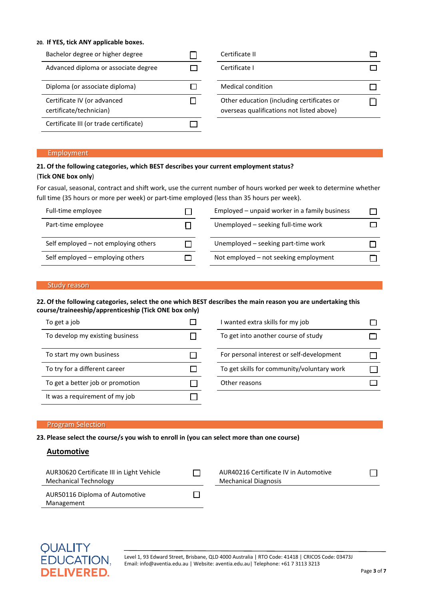#### **20. If YES, tick ANY applicable boxes.**

| Bachelor degree or higher degree                       | Certificate II                                                                          |  |
|--------------------------------------------------------|-----------------------------------------------------------------------------------------|--|
| Advanced diploma or associate degree                   | Certificate I                                                                           |  |
| Diploma (or associate diploma)                         | Medical condition                                                                       |  |
| Certificate IV (or advanced<br>certificate/technician) | Other education (including certificates or<br>overseas qualifications not listed above) |  |
| Certificate III (or trade certificate)                 |                                                                                         |  |

#### Employment

#### **21. Of the following categories, which BEST describes your current employment status?**

#### (**Tick ONE box only**)

For casual, seasonal, contract and shift work, use the current number of hours worked per week to determine whether full time (35 hours or more per week) or part-time employed (less than 35 hours per week).

| Full-time employee                   | Employed - unpaid worker in a family business |  |
|--------------------------------------|-----------------------------------------------|--|
| Part-time employee                   | Unemployed - seeking full-time work           |  |
| Self employed – not employing others | Unemployed – seeking part-time work           |  |
| Self employed - employing others     | Not employed - not seeking employment         |  |

#### Study reason

#### **22. Of the following categories, select the one which BEST describes the main reason you are undertaking this course/traineeship/apprenticeship (Tick ONE box only)**

| To get a job                     | I wanted extra skills for my job           |  |
|----------------------------------|--------------------------------------------|--|
| To develop my existing business  | To get into another course of study        |  |
| To start my own business         | For personal interest or self-development  |  |
| To try for a different career    | To get skills for community/voluntary work |  |
| To get a better job or promotion | Other reasons                              |  |
| It was a requirement of my job   |                                            |  |

#### Program Selection

**23. Please select the course/s you wish to enroll in (you can select more than one course)**

#### **Automotive**

| AUR30620 Certificate III in Light Vehicle<br><b>Mechanical Technology</b> | AUR40216 Certificate IV in Automotive<br><b>Mechanical Diagnosis</b> |
|---------------------------------------------------------------------------|----------------------------------------------------------------------|
| AUR50116 Diploma of Automotive<br>Management                              |                                                                      |

Level 1, 93 Edward Street, Brisbane, QLD 4000 Australia | RTO Code: 41418 | CRICOS Code: 03473J Email: info@aventia.edu.au | Website: aventia.edu.au| Telephone: +61 7 3113 3213

☐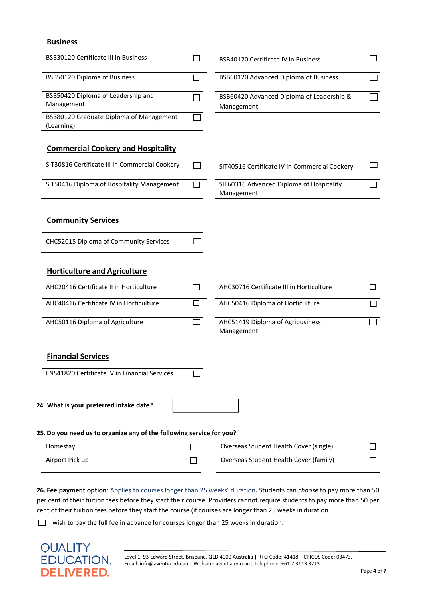#### **Business**

| <b>BSB30120 Certificate III in Business</b>                          |   | <b>BSB40120 Certificate IV in Business</b>              |   |
|----------------------------------------------------------------------|---|---------------------------------------------------------|---|
| BSB50120 Diploma of Business                                         | П | BSB60120 Advanced Diploma of Business                   |   |
| BSB50420 Diploma of Leadership and<br>Management                     |   | BSB60420 Advanced Diploma of Leadership &<br>Management |   |
| BSB80120 Graduate Diploma of Management<br>(Learning)                |   |                                                         |   |
| <b>Commercial Cookery and Hospitality</b>                            |   |                                                         |   |
| SIT30816 Certificate III in Commercial Cookery                       |   | SIT40516 Certificate IV in Commercial Cookery           |   |
| SIT50416 Diploma of Hospitality Management                           |   | SIT60316 Advanced Diploma of Hospitality<br>Management  |   |
| <b>Community Services</b>                                            |   |                                                         |   |
| CHC52015 Diploma of Community Services                               |   |                                                         |   |
| <b>Horticulture and Agriculture</b>                                  |   |                                                         |   |
| AHC20416 Certificate II in Horticulture                              | П | AHC30716 Certificate III in Horticulture                |   |
| AHC40416 Certificate IV in Horticulture                              | П | AHC50416 Diploma of Horticulture                        | П |
| AHC50116 Diploma of Agriculture                                      | П | AHC51419 Diploma of Agribusiness<br>Management          | ┐ |
| <b>Financial Services</b>                                            |   |                                                         |   |
| FNS41820 Certificate IV in Financial Services                        |   |                                                         |   |
| 24. What is your preferred intake date?                              |   |                                                         |   |
| 25. Do you need us to organize any of the following service for you? |   |                                                         |   |
| Homestay                                                             |   | Overseas Student Health Cover (single)                  |   |
| Airport Pick up                                                      |   | Overseas Student Health Cover (family)                  |   |

**26. Fee payment option**: Applies to courses longer than 25 weeks' duration**.** Students can *choose* to pay more than 50 per cent of their tuition fees before they start their course. Providers cannot require students to pay more than 50 per cent of their tuition fees before they start the course (if courses are longer than 25 weeks in duration

□ I wish to pay the full fee in advance for courses longer than 25 weeks in duration.

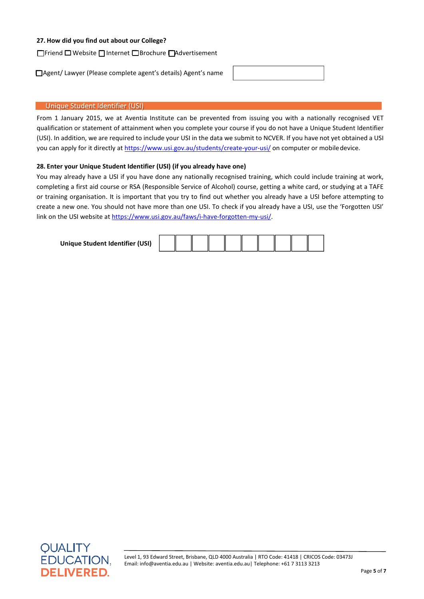#### **27. How did you find out about our College?**

☐ Friend ☐ Website ☐ Internet ☐ Brochure ☐Advertisement

□ Agent/ Lawyer (Please complete agent's details) Agent's name

#### Unique Student Identifier (USI)

From 1 January 2015, we at Aventia Institute can be prevented from issuing you with a nationally recognised VET qualification or statement of attainment when you complete your course if you do not have a Unique Student Identifier (USI). In addition, we are required to include your USI in the data we submit to NCVER. If you have not yet obtained a USI you can apply for it directly at https://www.usi.gov.au/students/create-your-usi/ on computer or mobile device.

#### **28. Enter your Unique Student Identifier (USI) (if you already have one)**

You may already have a USI if you have done any nationally recognised training, which could include training at work, completing a first aid course or RSA (Responsible Service of Alcohol) course, getting a white card, or studying at a TAFE or training organisation. It is important that you try to find out whether you already have a USI before attempting to create a new one. You should not have more than one USI. To check if you already have a USI, use the 'Forgotten USI' link on the USI website at https://www.usi.gov.au/faws/i-have-forgotten-my-usi/.

**Unique Student Identifier (USI)**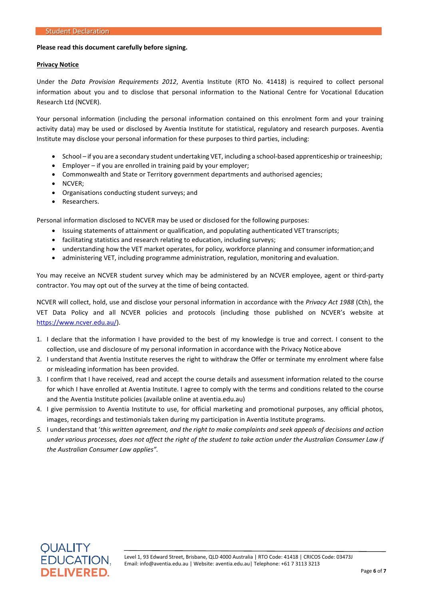#### **Please read this document carefully before signing.**

#### **Privacy Notice**

Under the *Data Provision Requirements 2012*, Aventia Institute (RTO No. 41418) is required to collect personal information about you and to disclose that personal information to the National Centre for Vocational Education Research Ltd (NCVER).

Your personal information (including the personal information contained on this enrolment form and your training activity data) may be used or disclosed by Aventia Institute for statistical, regulatory and research purposes. Aventia Institute may disclose your personal information for these purposes to third parties, including:

- School if you are a secondary student undertaking VET, including a school-based apprenticeship or traineeship;
- Employer if you are enrolled in training paid by your employer;
- Commonwealth and State or Territory government departments and authorised agencies;
- NCVER;
- Organisations conducting student surveys; and
- Researchers.

Personal information disclosed to NCVER may be used or disclosed for the following purposes:

- Issuing statements of attainment or qualification, and populating authenticated VET transcripts;
- facilitating statistics and research relating to education, including surveys;
- understanding how the VET market operates, for policy, workforce planning and consumer information;and
- administering VET, including programme administration, regulation, monitoring and evaluation.

You may receive an NCVER student survey which may be administered by an NCVER employee, agent or third-party contractor. You may opt out of the survey at the time of being contacted.

NCVER will collect, hold, use and disclose your personal information in accordance with the *Privacy Act 1988* (Cth), the VET Data Policy and all NCVER policies and protocols (including those published on NCVER's website at https://www.ncver.edu.au/).

- 1. I declare that the information I have provided to the best of my knowledge is true and correct. I consent to the collection, use and disclosure of my personal information in accordance with the Privacy Notice above
- 2. I understand that Aventia Institute reserves the right to withdraw the Offer or terminate my enrolment where false or misleading information has been provided.
- 3. I confirm that I have received, read and accept the course details and assessment information related to the course for which I have enrolled at Aventia Institute. I agree to comply with the terms and conditions related to the course and the Aventia Institute policies (available online at aventia.edu.au)
- 4. I give permission to Aventia Institute to use, for official marketing and promotional purposes, any official photos, images, recordings and testimonials taken during my participation in Aventia Institute programs.
- 5. I understand that 'this written agreement, and the right to make complaints and seek appeals of decisions and action *under various processes, does not affect the right of the student to take action under the Australian Consumer Law if the Australian Consumer Law applies".*